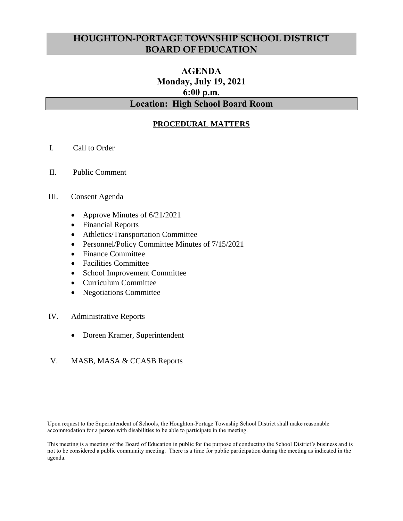## **HOUGHTON-PORTAGE TOWNSHIP SCHOOL DISTRICT BOARD OF EDUCATION**

# **AGENDA Monday, July 19, 2021 6:00 p.m. Location: High School Board Room**

### **PROCEDURAL MATTERS**

- I. Call to Order
- II. Public Comment

#### III. Consent Agenda

- Approve Minutes of 6/21/2021
- Financial Reports
- Athletics/Transportation Committee
- Personnel/Policy Committee Minutes of 7/15/2021
- Finance Committee
- Facilities Committee
- School Improvement Committee
- Curriculum Committee
- Negotiations Committee

#### IV. Administrative Reports

Doreen Kramer, Superintendent

### V. MASB, MASA & CCASB Reports

Upon request to the Superintendent of Schools, the Houghton-Portage Township School District shall make reasonable accommodation for a person with disabilities to be able to participate in the meeting.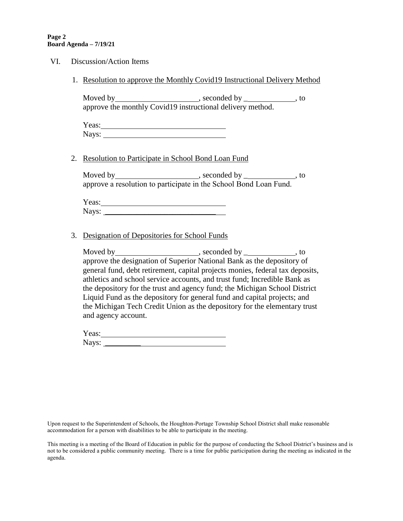| VI. |    | Discussion/Action Items                                                                                                                                                                                                                                                                                                                                                                                                                                                     |
|-----|----|-----------------------------------------------------------------------------------------------------------------------------------------------------------------------------------------------------------------------------------------------------------------------------------------------------------------------------------------------------------------------------------------------------------------------------------------------------------------------------|
|     |    | 1. Resolution to approve the Monthly Covid19 Instructional Delivery Method                                                                                                                                                                                                                                                                                                                                                                                                  |
|     |    | approve the monthly Covid19 instructional delivery method.                                                                                                                                                                                                                                                                                                                                                                                                                  |
|     |    |                                                                                                                                                                                                                                                                                                                                                                                                                                                                             |
|     | 2. | Resolution to Participate in School Bond Loan Fund                                                                                                                                                                                                                                                                                                                                                                                                                          |
|     |    |                                                                                                                                                                                                                                                                                                                                                                                                                                                                             |
|     |    | Yeas:                                                                                                                                                                                                                                                                                                                                                                                                                                                                       |
|     | 3. | Designation of Depositories for School Funds                                                                                                                                                                                                                                                                                                                                                                                                                                |
|     |    | approve the designation of Superior National Bank as the depository of<br>general fund, debt retirement, capital projects monies, federal tax deposits,<br>athletics and school service accounts, and trust fund; Incredible Bank as<br>the depository for the trust and agency fund; the Michigan School District<br>Liquid Fund as the depository for general fund and capital projects; and<br>the Michigan Tech Credit Union as the depository for the elementary trust |

Yeas: Next Strategy and Strategy and Strategy and Strategy and Strategy and Strategy and Strategy and Strategy and Strategy and Strategy and Strategy and Strategy and Strategy and Strategy and Strategy and Strategy and Str Nays: \_\_\_\_\_\_\_\_\_

and agency account.

Upon request to the Superintendent of Schools, the Houghton-Portage Township School District shall make reasonable accommodation for a person with disabilities to be able to participate in the meeting.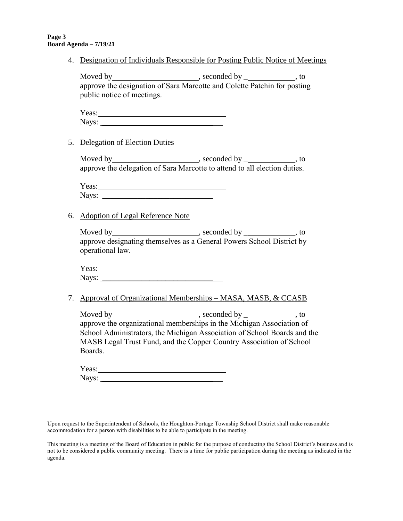4. Designation of Individuals Responsible for Posting Public Notice of Meetings

Moved by , seconded by \_ , to approve the designation of Sara Marcotte and Colette Patchin for posting public notice of meetings.

| Yeas: |  |
|-------|--|
| Nays: |  |

5. Delegation of Election Duties

Moved by , seconded by \_ , to approve the delegation of Sara Marcotte to attend to all election duties.

Yeas: Nays: \_\_\_\_\_\_\_\_\_\_\_\_\_\_\_\_\_\_\_\_\_\_\_\_\_\_\_\_

6. Adoption of Legal Reference Note

Moved by , seconded by \_ , to approve designating themselves as a General Powers School District by operational law.

Yeas:  $\blacksquare$ Nays: \_\_\_\_\_\_\_\_\_\_\_\_\_\_\_\_\_\_\_\_\_\_\_\_\_\_\_\_

7. Approval of Organizational Memberships – MASA, MASB, & CCASB

Moved by , seconded by \_ , to approve the organizational memberships in the Michigan Association of School Administrators, the Michigan Association of School Boards and the MASB Legal Trust Fund, and the Copper Country Association of School Boards.

Yeas: Nays: \_\_\_\_\_\_\_\_\_\_\_\_\_\_\_\_\_\_\_\_\_\_\_\_\_\_\_\_

Upon request to the Superintendent of Schools, the Houghton-Portage Township School District shall make reasonable accommodation for a person with disabilities to be able to participate in the meeting.

This meeting is a meeting of the Board of Education in public for the purpose of conducting the School District's business and is not to be considered a public community meeting. There is a time for public participation during the meeting as indicated in the agenda.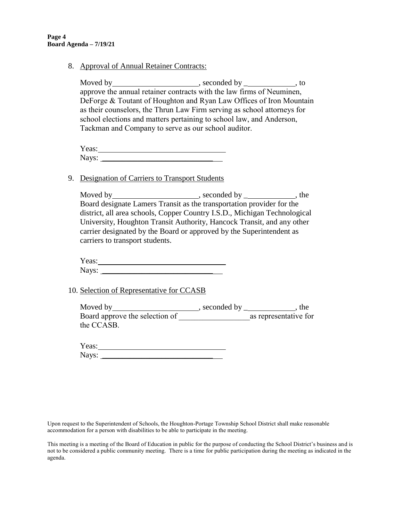8. Approval of Annual Retainer Contracts:

Moved by the seconded by the seconded by the seconded by the seconded by  $\sim$ approve the annual retainer contracts with the law firms of Neuminen, DeForge & Toutant of Houghton and Ryan Law Offices of Iron Mountain as their counselors, the Thrun Law Firm serving as school attorneys for school elections and matters pertaining to school law, and Anderson, Tackman and Company to serve as our school auditor.

| Yeas: |  |
|-------|--|
| Nays: |  |

#### 9. Designation of Carriers to Transport Students

Moved by  $\frac{1}{\sqrt{1-\frac{1}{\sqrt{1-\frac{1}{\sqrt{1-\frac{1}{\sqrt{1-\frac{1}{\sqrt{1-\frac{1}{\sqrt{1-\frac{1}{\sqrt{1-\frac{1}{\sqrt{1-\frac{1}{\sqrt{1-\frac{1}{\sqrt{1-\frac{1}{\sqrt{1-\frac{1}{\sqrt{1-\frac{1}{\sqrt{1-\frac{1}{\sqrt{1-\frac{1}{\sqrt{1-\frac{1}{\sqrt{1-\frac{1}{\sqrt{1-\frac{1}{\sqrt{1-\frac{1}{\sqrt{1-\frac{1}{\sqrt{1-\frac{1}{\sqrt{1-\frac{1}{\sqrt{1-\frac{1}{\sqrt{1-\frac{1$ Board designate Lamers Transit as the transportation provider for the district, all area schools, Copper Country I.S.D., Michigan Technological University, Houghton Transit Authority, Hancock Transit, and any other carrier designated by the Board or approved by the Superintendent as carriers to transport students.

Yeas:  $\blacksquare$ Nays: \_\_\_\_\_\_\_\_\_\_\_\_\_\_\_\_\_\_\_\_\_\_\_\_\_\_\_\_

10. Selection of Representative for CCASB

Moved by , seconded by \_ , the Board approve the selection of \_\_\_\_\_\_\_\_\_\_\_\_\_\_\_\_\_\_as representative for the CCASB.

Yeas: New York Changes and The Contract of the Changes of the Changes of the Changes of the Changes of the Changes of the Changes of the Changes of the Changes of the Changes of the Changes of the Changes of the Changes of Nays:

Upon request to the Superintendent of Schools, the Houghton-Portage Township School District shall make reasonable accommodation for a person with disabilities to be able to participate in the meeting.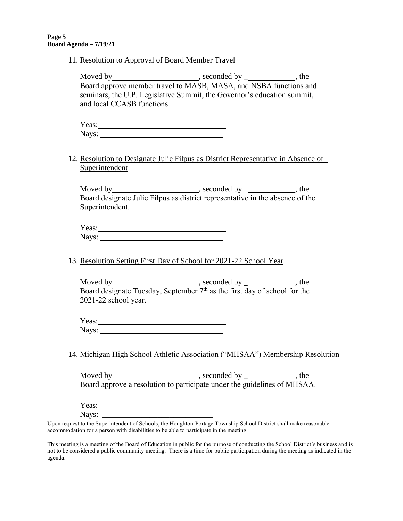11. Resolution to Approval of Board Member Travel

| Moved by                                                                | , seconded by | $.$ the |
|-------------------------------------------------------------------------|---------------|---------|
| Board approve member travel to MASB, MASA, and NSBA functions and       |               |         |
| seminars, the U.P. Legislative Summit, the Governor's education summit, |               |         |
| and local CCASB functions                                               |               |         |

| Ÿ.<br>$A^{\alpha}$ |  |
|--------------------|--|
| Nave·<br>1 .u y .s |  |

12. Resolution to Designate Julie Filpus as District Representative in Absence of Superintendent

Moved by , seconded by \_ , the Board designate Julie Filpus as district representative in the absence of the Superintendent.

| $\mathbf{x}$<br>Yeas: |  |
|-----------------------|--|
| $N$ ave<br>13ayo.     |  |

13. Resolution Setting First Day of School for 2021-22 School Year

| Moved by                                                                              | , seconded by $\overline{\phantom{a}}$ | . the |
|---------------------------------------------------------------------------------------|----------------------------------------|-------|
| Board designate Tuesday, September 7 <sup>th</sup> as the first day of school for the |                                        |       |
| 2021-22 school year.                                                                  |                                        |       |

Yeas: Nays: \_\_\_\_\_\_\_\_\_\_\_\_\_\_\_\_\_\_\_\_\_\_\_\_\_\_\_\_

14. Michigan High School Athletic Association ("MHSAA") Membership Resolution

Moved by , seconded by \_ , the Board approve a resolution to participate under the guidelines of MHSAA.

Yeas:

Nays:

Upon request to the Superintendent of Schools, the Houghton-Portage Township School District shall make reasonable accommodation for a person with disabilities to be able to participate in the meeting.

This meeting is a meeting of the Board of Education in public for the purpose of conducting the School District's business and is not to be considered a public community meeting. There is a time for public participation during the meeting as indicated in the agenda.